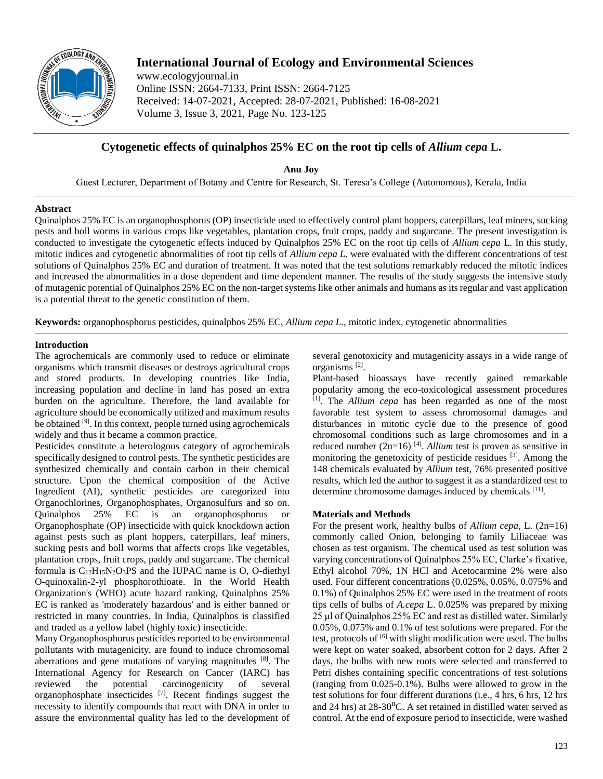

# **International Journal of Ecology and Environmental Sciences**

www.ecologyjournal.in Online ISSN: 2664-7133, Print ISSN: 2664-7125 Received: 14-07-2021, Accepted: 28-07-2021, Published: 16-08-2021 Volume 3, Issue 3, 2021, Page No. 123-125

## **Cytogenetic effects of quinalphos 25% EC on the root tip cells of** *Allium cepa* **L.**

**Anu Joy** Guest Lecturer, Department of Botany and Centre for Research, St. Teresa's College (Autonomous), Kerala, India

### **Abstract**

Quinalphos 25% EC is an organophosphorus (OP) insecticide used to effectively control plant hoppers, caterpillars, leaf miners, sucking pests and boll worms in various crops like vegetables, plantation crops, fruit crops, paddy and sugarcane. The present investigation is conducted to investigate the cytogenetic effects induced by Quinalphos 25% EC on the root tip cells of *Allium cepa* L*.* In this study, mitotic indices and cytogenetic abnormalities of root tip cells of *Allium cepa L.* were evaluated with the different concentrations of test solutions of Quinalphos 25% EC and duration of treatment. It was noted that the test solutions remarkably reduced the mitotic indices and increased the abnormalities in a dose dependent and time dependent manner. The results of the study suggests the intensive study of mutagenic potential of Quinalphos 25% EC on the non-target systems like other animals and humans as its regular and vast application is a potential threat to the genetic constitution of them.

**Keywords:** organophosphorus pesticides, quinalphos 25% EC, *Allium cepa L*., mitotic index, cytogenetic abnormalities

## **Introduction**

The agrochemicals are commonly used to reduce or eliminate organisms which transmit diseases or destroys agricultural crops and stored products. In developing countries like India, increasing population and decline in land has posed an extra burden on the agriculture. Therefore, the land available for agriculture should be economically utilized and maximum results be obtained [9]. In this context, people turned using agrochemicals widely and thus it became a common practice.

Pesticides constitute a heterologous category of agrochemicals specifically designed to control pests. The synthetic pesticides are synthesized chemically and contain carbon in their chemical structure. Upon the chemical composition of the Active Ingredient (AI), synthetic pesticides are categorized into Organochlorines, Organophosphates, Organosulfurs and so on. Quinalphos 25% EC is an organophosphorus or Organophosphate (OP) insecticide with quick knockdown action against pests such as plant hoppers, caterpillars, leaf miners, sucking pests and boll worms that affects crops like vegetables, plantation crops, fruit crops, paddy and sugarcane. The chemical formula is  $C_{12}H_{15}N_2O_3PS$  and the IUPAC name is O, O-diethyl O-quinoxalin-2-yl phosphorothioate. In the World Health Organization's (WHO) acute hazard ranking, Quinalphos 25% EC is ranked as 'moderately hazardous' and is either banned or restricted in many countries. In India, Quinalphos is classified and traded as a yellow label (highly toxic) insecticide.

Many Organophosphorus pesticides reported to be environmental pollutants with mutagenicity, are found to induce chromosomal aberrations and gene mutations of varying magnitudes [8]. The International Agency for Research on Cancer (IARC) has reviewed the potential carcinogenicity of several organophosphate insecticides [7]. Recent findings suggest the necessity to identify compounds that react with DNA in order to assure the environmental quality has led to the development of

several genotoxicity and mutagenicity assays in a wide range of organisms [2] .

Plant-based bioassays have recently gained remarkable popularity among the eco-toxicological assessment procedures [1] . The *Allium cepa* has been regarded as one of the most favorable test system to assess chromosomal damages and disturbances in mitotic cycle due to the presence of good chromosomal conditions such as large chromosomes and in a reduced number  $(2n=16)$ <sup>[4]</sup>. *Allium* test is proven as sensitive in monitoring the genetoxicity of pesticide residues [3]. Among the 148 chemicals evaluated by *Allium* test, 76% presented positive results, which led the author to suggest it as a standardized test to determine chromosome damages induced by chemicals [11].

### **Materials and Methods**

For the present work, healthy bulbs of *Allium cepa,* L. (2n=16) commonly called Onion, belonging to family Liliaceae was chosen as test organism. The chemical used as test solution was varying concentrations of Quinalphos 25% EC, Clarke's fixative, Ethyl alcohol 70%, 1N HCl and Acetocarmine 2% were also used. Four different concentrations (0.025%, 0.05%, 0.075% and 0.1%) of Quinalphos 25% EC were used in the treatment of roots tips cells of bulbs of *A.cepa* L. 0.025% was prepared by mixing 25 μl of Quinalphos 25% EC and rest as distilled water. Similarly 0.05%, 0.075% and 0.1% of test solutions were prepared. For the test, protocols of  $[6]$  with slight modification were used. The bulbs were kept on water soaked, absorbent cotton for 2 days. After 2 days, the bulbs with new roots were selected and transferred to Petri dishes containing specific concentrations of test solutions (ranging from 0.025-0.1%). Bulbs were allowed to grow in the test solutions for four different durations (i.e., 4 hrs, 6 hrs, 12 hrs and 24 hrs) at  $28\text{-}30\textsuperscript{0}$ C. A set retained in distilled water served as control. At the end of exposure period to insecticide, were washed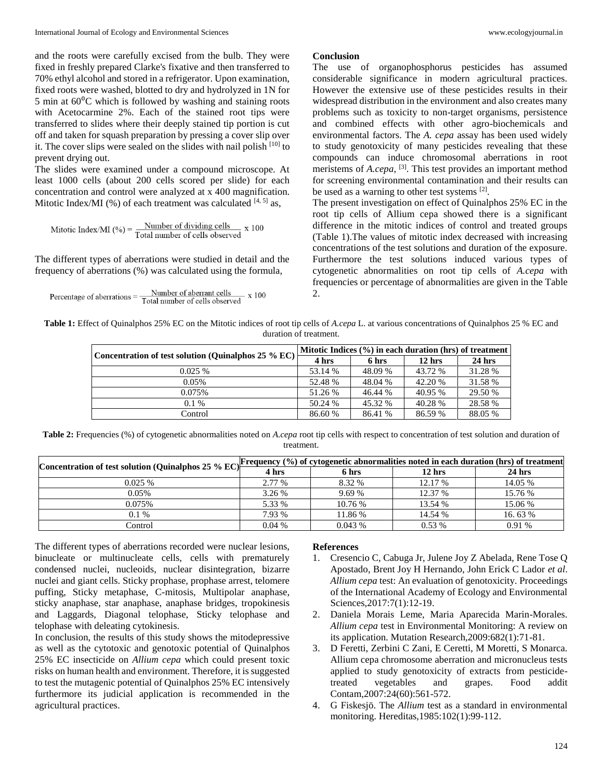and the roots were carefully excised from the bulb. They were fixed in freshly prepared Clarke's fixative and then transferred to 70% ethyl alcohol and stored in a refrigerator. Upon examination, fixed roots were washed, blotted to dry and hydrolyzed in 1N for 5 min at  $60^{\circ}$ C which is followed by washing and staining roots with Acetocarmine 2%. Each of the stained root tips were transferred to slides where their deeply stained tip portion is cut off and taken for squash preparation by pressing a cover slip over it. The cover slips were sealed on the slides with nail polish [10] to prevent drying out.

The slides were examined under a compound microscope. At least 1000 cells (about 200 cells scored per slide) for each concentration and control were analyzed at x 400 magnification. Mitotic Index/MI (%) of each treatment was calculated  $[4, 5]$  as,

$$
Mitotic Index/MI (%) = \frac{Number of dividing cells}{Total number of cells observed} x 100
$$

The different types of aberrations were studied in detail and the frequency of aberrations (%) was calculated using the formula,

 $Percentage of aberrations = \frac{Number of aberrant cells}{Total number of cells observed}$  $- x 100$ 

#### **Conclusion**

The use of organophosphorus pesticides has assumed considerable significance in modern agricultural practices. However the extensive use of these pesticides results in their widespread distribution in the environment and also creates many problems such as toxicity to non-target organisms, persistence and combined effects with other agro-biochemicals and environmental factors. The *A. cepa* assay has been used widely to study genotoxicity of many pesticides revealing that these compounds can induce chromosomal aberrations in root meristems of *A.cepa*, <sup>[3]</sup>. This test provides an important method for screening environmental contamination and their results can be used as a warning to other test systems [2].

The present investigation on effect of Quinalphos 25% EC in the root tip cells of Allium cepa showed there is a significant difference in the mitotic indices of control and treated groups (Table 1).The values of mitotic index decreased with increasing concentrations of the test solutions and duration of the exposure. Furthermore the test solutions induced various types of cytogenetic abnormalities on root tip cells of *A.cepa* with frequencies or percentage of abnormalities are given in the Table 2.

**Table 1:** Effect of Quinalphos 25% EC on the Mitotic indices of root tip cells of *A.cepa* L. at various concentrations of Quinalphos 25 % EC and duration of treatment.

| Concentration of test solution (Quinalphos 25 % EC) | Mitotic Indices $(\% )$ in each duration (hrs) of treatment |         |                   |          |  |
|-----------------------------------------------------|-------------------------------------------------------------|---------|-------------------|----------|--|
|                                                     | 4 hrs                                                       | 6 hrs   | 12 <sub>hrs</sub> | $24$ hrs |  |
| 0.025%                                              | 53.14 %                                                     | 48.09 % | 43.72 %           | 31.28 %  |  |
| 0.05%                                               | 52.48 %                                                     | 48.04 % | 42.20 %           | 31.58 %  |  |
| 0.075%                                              | 51.26 %                                                     | 46.44 % | 40.95 %           | 29.50 %  |  |
| $0.1\%$                                             | 50.24 %                                                     | 45.32 % | 40.28 %           | 28.58 %  |  |
| Control                                             | 86.60 %                                                     | 86.41 % | 86.59 %           | 88.05 %  |  |

Table 2: Frequencies (%) of cytogenetic abnormalities noted on *A.cepa* root tip cells with respect to concentration of test solution and duration of treatment.

| Concentration of test solution (Quinalphos 25 % EC) <sup>P</sup> | Frequency (%) of cytogenetic abnormalities noted in each duration (hrs) of treatment |         |          |          |  |  |
|------------------------------------------------------------------|--------------------------------------------------------------------------------------|---------|----------|----------|--|--|
|                                                                  | 4 hrs                                                                                | 6 hrs   | $12$ hrs | $24$ hrs |  |  |
| 0.025%                                                           | 2.77 %                                                                               | 8.32 %  | 12.17 %  | 14.05 %  |  |  |
| 0.05%                                                            | 3.26 %                                                                               | 9.69%   | 12.37 %  | 15.76 %  |  |  |
| 0.075%                                                           | 5.33 %                                                                               | 10.76 % | 13.54 %  | 15.06 %  |  |  |
| $0.1\%$                                                          | 7.93 %                                                                               | 11.86 % | 14.54 %  | 16.63%   |  |  |
| Control                                                          | $0.04\%$                                                                             | 0.043%  | $0.53\%$ | 0.91%    |  |  |

The different types of aberrations recorded were nuclear lesions, binucleate or multinucleate cells, cells with prematurely condensed nuclei, nucleoids, nuclear disintegration, bizarre nuclei and giant cells. Sticky prophase, prophase arrest, telomere puffing, Sticky metaphase, C-mitosis, Multipolar anaphase, sticky anaphase, star anaphase, anaphase bridges, tropokinesis and Laggards, Diagonal telophase, Sticky telophase and telophase with deleating cytokinesis.

In conclusion, the results of this study shows the mitodepressive as well as the cytotoxic and genotoxic potential of Quinalphos 25% EC insecticide on *Allium cepa* which could present toxic risks on human health and environment. Therefore, it is suggested to test the mutagenic potential of Quinalphos 25% EC intensively furthermore its judicial application is recommended in the agricultural practices.

#### **References**

- 1. Cresencio C, Cabuga Jr, Julene Joy Z Abelada, Rene Tose Q Apostado, Brent Joy H Hernando, John Erick C Lador *et al*. *Allium cepa* test: An evaluation of genotoxicity. Proceedings of the International Academy of Ecology and Environmental Sciences,2017:7(1):12-19.
- 2. Daniela Morais Leme, Maria Aparecida Marin-Morales. *Allium cepa* test in Environmental Monitoring: A review on its application. Mutation Research,2009:682(1):71-81.
- 3. D Feretti, Zerbini C Zani, E Ceretti, M Moretti, S Monarca. Allium cepa chromosome aberration and micronucleus tests applied to study genotoxicity of extracts from pesticidetreated vegetables and grapes. Food addit Contam,2007:24(60):561-572.
- 4. G Fiskesjö. The *Allium* test as a standard in environmental monitoring. Hereditas,1985:102(1):99-112.